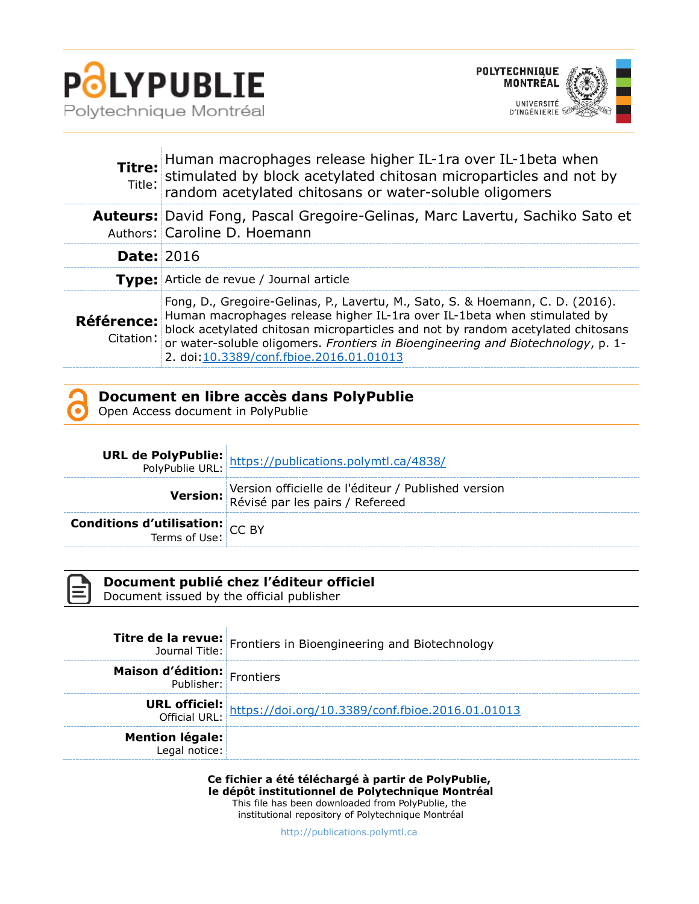

j.



| Titre:<br>Title:               | Human macrophages release higher IL-1ra over IL-1beta when<br>stimulated by block acetylated chitosan microparticles and not by<br>random acetylated chitosans or water-soluble oligomers                                                                                                                                                                                    |
|--------------------------------|------------------------------------------------------------------------------------------------------------------------------------------------------------------------------------------------------------------------------------------------------------------------------------------------------------------------------------------------------------------------------|
|                                | <b>Auteurs:</b> David Fong, Pascal Gregoire-Gelinas, Marc Lavertu, Sachiko Sato et<br>Authors: Caroline D. Hoemann                                                                                                                                                                                                                                                           |
| <b>Date: 2016</b>              |                                                                                                                                                                                                                                                                                                                                                                              |
|                                | <b>Type:</b> Article de revue / Journal article                                                                                                                                                                                                                                                                                                                              |
| <b>Référence:</b><br>Citation: | Fong, D., Gregoire-Gelinas, P., Lavertu, M., Sato, S. & Hoemann, C. D. (2016).<br>Human macrophages release higher IL-1ra over IL-1beta when stimulated by<br>block acetylated chitosan microparticles and not by random acetylated chitosans<br>or water-soluble oligomers. Frontiers in Bioengineering and Biotechnology, p. 1-<br>2. doi:10.3389/conf.fbioe.2016.01.01013 |



Open Access document in PolyPublie

|                                                           | <b>URL de PolyPublie:</b><br>PolyPublie URL: https://publications.polymtl.ca/4838/     |
|-----------------------------------------------------------|----------------------------------------------------------------------------------------|
|                                                           | Version officielle de l'éditeur / Published version<br>Révisé par les pairs / Refereed |
| <b>Conditions d'utilisation:</b> $CC$ BY<br>Terms of Use: |                                                                                        |



**Document publié chez l'éditeur officiel**

Document issued by the official publisher

Ŷ.

|                                         | <b>Titre de la revue:</b> Frontiers in Bioengineering and Biotechnology<br>Journal Title: Frontiers in Bioengineering and Biotechnology |
|-----------------------------------------|-----------------------------------------------------------------------------------------------------------------------------------------|
| <b>Maison d'édition:</b> Frontiers      |                                                                                                                                         |
|                                         | URL officiel: https://doi.org/10.3389/conf.fbioe.2016.01.01013                                                                          |
| <b>Mention légale:</b><br>Legal notice: |                                                                                                                                         |

**Ce fichier a été téléchargé à partir de PolyPublie, le dépôt institutionnel de Polytechnique Montréal** This file has been downloaded from PolyPublie, the institutional repository of Polytechnique Montréal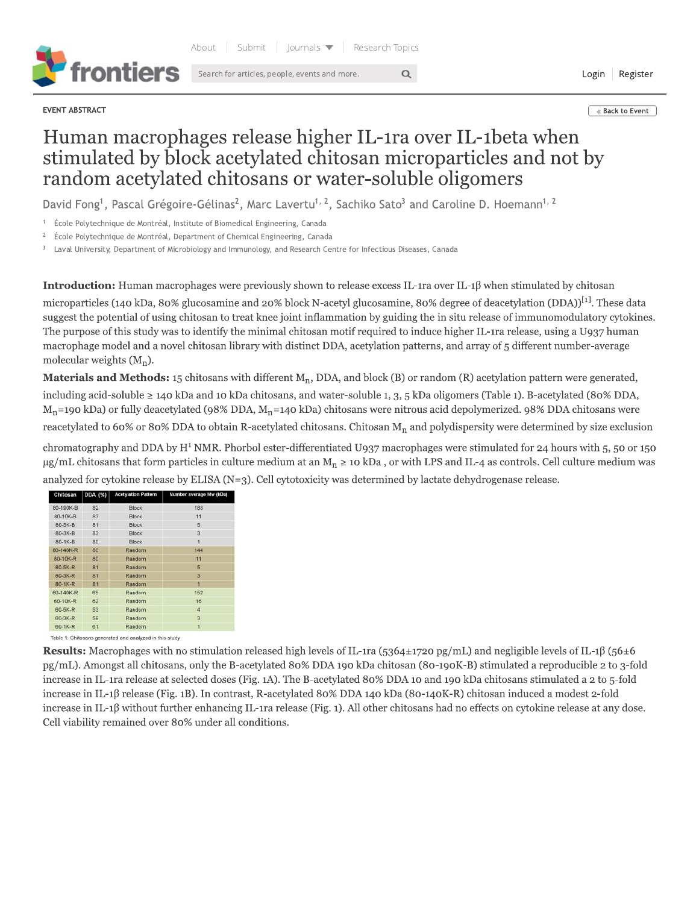

EVENT ABSTRACT

**Example 3** & Back to Event

Login Register

## Human macrophages release higher IL-1ra over IL-1beta when stimulated by block acetylated chitosan microparticles and not by random acetylated chitosans or water-soluble oligomers

 $\alpha$ 

David Fong<sup>1</sup>, Pascal Grégoire-Gélinas<sup>2</sup>, Marc Lavertu<sup>1, 2</sup>, Sachiko Sato<sup>3</sup> and Caroline D. Hoemann<sup>1, 2</sup>

École Polytechnique de Montréal, Institute of Biomedical Engineering, Canada

 $\,2$ École Polytechnique de Montréal, Department of Chemical Engineering, Canada

Laval University, Department of Microbiology and Immunology, and Research Centre for Infectious Diseases, Canada

Introduction: Human macrophages were previously shown to release excess IL-1ra over IL-1β when stimulated by chitosan

microparticles (140 kDa, 80% glucosamine and 20% block N-acetyl glucosamine, 80% degree of deacetylation (DDA))<sup>[1]</sup>. These data suggest the potential of using chitosan to treat knee joint inflammation by guiding the in situ release of immunomodulatory cytokines. The purpose of this study was to identify the minimal chitosan motif required to induce higher IL-1ra release, using a U937 human macrophage model and a novel chitosan library with distinct DDA, acetylation patterns, and array of 5 different number-average molecular weights  $(M_n)$ .

Materials and Methods: 15 chitosans with different  $M_n$ , DDA, and block (B) or random (R) acetylation pattern were generated, including acid-soluble ≥ 140 kDa and 10 kDa chitosans, and water-soluble 1, 3, 5 kDa oligomers (Table 1). B-acetylated (80% DDA,  $M_n$ =190 kDa) or fully deacetylated (98% DDA,  $M_n$ =140 kDa) chitosans were nitrous acid depolymerized. 98% DDA chitosans were reacetylated to 60% or 80% DDA to obtain R-acetylated chitosans. Chitosan  $M_n$  and polydispersity were determined by size exclusion

chromatography and DDA by H<sup>1</sup> NMR. Phorbol ester-differentiated U937 macrophages were stimulated for 24 hours with 5, 50 or 150  $\mu$ g/mL chitosans that form particles in culture medium at an M<sub>n</sub>  $\geq$  10 kDa, or with LPS and IL-4 as controls. Cell culture medium was analyzed for cytokine release by ELISA  $(N=3)$ . Cell cytotoxicity was determined by lactate dehydrogenase release.

| Chitosan      | DDA (%) | <b>Acetylation Pattern</b> | Number average Mw (kDa) |
|---------------|---------|----------------------------|-------------------------|
| 80-190K-B     | 82      | <b>Block</b>               | 188                     |
| 80-10K-B      | 83      | <b>Block</b>               | 11                      |
| 80-5K-B       | 81      | <b>Block</b>               | 5                       |
| $80-3K-B$     | 83      | <b>Block</b>               | 3                       |
| 80-1K-B       | 80      | <b>Block</b>               | 1                       |
| 80-140K-R     | 80      | Random                     | 144                     |
| 80-10K-R      | 80      | Random                     | 11                      |
| $80-5K-R$     | 81      | Random                     | 5                       |
| 80-3K-R       | 81      | Random                     | 3                       |
| $80 - 1K - R$ | 81      | Random                     | ٦                       |
| 60-140K-R     | 65      | Random                     | 152                     |
| 60-10K-R      | 62      | Random                     | 16                      |
| 60-5K-R       | 53      | Random                     | $\overline{4}$          |
| 60-3K-R       | 59      | Random                     | $\overline{3}$          |
| 60-1K-R       | 61      | Random                     | 1                       |

Table 1: Chitosans generated and analyzed in this study

**Results:** Macrophages with no stimulation released high levels of IL-1ra (5364±1720 pg/mL) and negligible levels of IL-1 $\beta$  (56±6 pg/mL). Amongst all chitosans, only the B-acetylated 80% DDA 190 kDa chitosan (80-190K-B) stimulated a reproducible 2 to 3-fold increase in IL-1ra release at selected doses (Fig. 1A). The B-acetylated 80% DDA 10 and 190 kDa chitosans stimulated a 2 to 5-fold increase in IL-16 release (Fig. 1B). In contrast, R-acetylated 80% DDA 140 kDa (80-140K-R) chitosan induced a modest 2-fold increase in IL-1 $\beta$  without further enhancing IL-1ra release (Fig. 1). All other chitosans had no effects on cytokine release at any dose. Cell viability remained over 80% under all conditions.